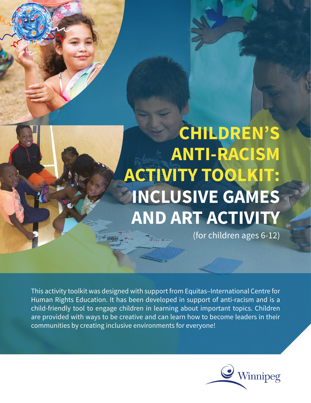## **CHILDREN'S ANTI-RACISM ACTIVITY TOOLKIT: INCLUSIVE GAMES AND ART ACTIVITY**

(for children ages 6-12)

This activity toolkit was designed with support from Equitas–International Centre for Human Rights Education. It has been developed in support of anti-racism and is a child-friendly tool to engage children in learning about important topics. Children are provided with ways to be creative and can learn how to become leaders in their communities by creating inclusive environments for everyone!

**ALITER** 

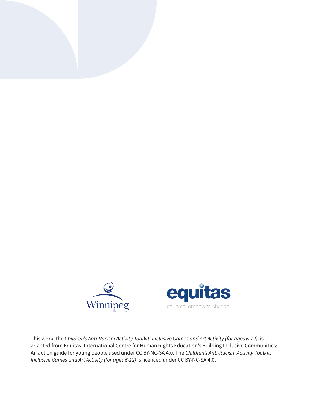



This work, the *Children's Anti-Racism Activity Toolkit: Inclusive Games and Art Activity (for ages 6-12)*, is adapted from Equitas–International Centre for Human Rights Education's Building Inclusive Communities: An action guide for young people used under CC BY-NC-SA 4.0. The *Children's Anti-Racism Activity Toolkit: Inclusive Games and Art Activity (for ages 6-12)* is licenced under CC BY-NC-SA 4.0.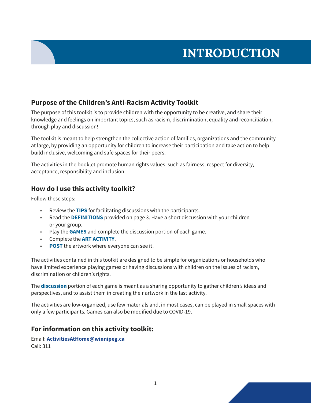### **INTRODUCTION**

#### **Purpose of the Children's Anti-Racism Activity Toolkit**

The purpose of this toolkit is to provide children with the opportunity to be creative, and share their knowledge and feelings on important topics, such as racism, discrimination, equality and reconciliation, through play and discussion!

The toolkit is meant to help strengthen the collective action of families, organizations and the community at large, by providing an opportunity for children to increase their participation and take action to help build inclusive, welcoming and safe spaces for their peers.

The activities in the booklet promote human rights values, such as fairness, respect for diversity, acceptance, responsibility and inclusion.

#### **How do I use this activity toolkit?**

Follow these steps:

- Review the **TIPS** for facilitating discussions with the participants.
- Read the **DEFINITIONS** provided on page 3. Have a short discussion with your children or your group.
- Play the **GAMES** and complete the discussion portion of each game.
- Complete the **ART ACTIVITY**.
- **POST** the artwork where everyone can see it!

The activities contained in this toolkit are designed to be simple for organizations or households who have limited experience playing games or having discussions with children on the issues of racism, discrimination or children's rights.

The **discussion** portion of each game is meant as a sharing opportunity to gather children's ideas and perspectives, and to assist them in creating their artwork in the last activity.

The activities are low-organized, use few materials and, in most cases, can be played in small spaces with only a few participants. Games can also be modified due to COVID-19.

#### **For information on this activity toolkit:**

Email: **ActivitiesAtHome@winnipeg.ca** Call: 311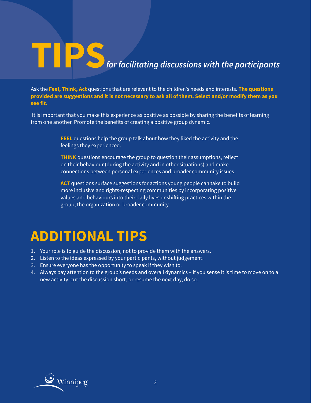# **TIPS**<br>*for facilitating discussions with the participants*

Ask the **Feel, Think, Act** questions that are relevant to the children's needs and interests. **The questions provided are suggestions and it is not necessary to ask all of them. Select and/or modify them as you see fit.** 

 It is important that you make this experience as positive as possible by sharing the benefits of learning from one another. Promote the benefits of creating a positive group dynamic.

> **FEEL** questions help the group talk about how they liked the activity and the feelings they experienced.

> **THINK** questions encourage the group to question their assumptions, reflect on their behaviour (during the activity and in other situations) and make connections between personal experiences and broader community issues.

> **ACT** questions surface suggestions for actions young people can take to build more inclusive and rights-respecting communities by incorporating positive values and behaviours into their daily lives or shifting practices within the group, the organization or broader community.

## **ADDITIONAL TIPS**

- 1. Your role is to guide the discussion, not to provide them with the answers.
- 2. Listen to the ideas expressed by your participants, without judgement.
- 3. Ensure everyone has the opportunity to speak if they wish to.
- 4. Always pay attention to the group's needs and overall dynamics if you sense it is time to move on to a new activity, cut the discussion short, or resume the next day, do so.

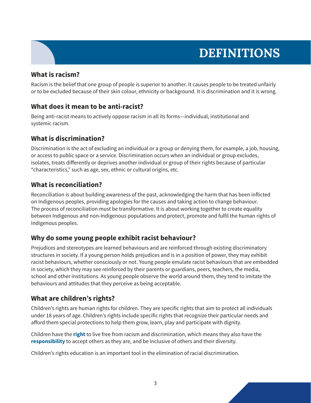### **DEFINITIONS**

#### **What is racism?**

Racism is the belief that one group of people is superior to another. It causes people to be treated unfairly or to be excluded because of their skin colour, ethnicity or background. It is discrimination and it is wrong.

#### **What does it mean to be anti-racist?**

Being anti-racist means to actively oppose racism in all its forms—individual, institutional and systemic racism.

#### **What is discrimination?**

Discrimination is the act of excluding an individual or a group or denying them, for example, a job, housing, or access to public space or a service. Discrimination occurs when an individual or group excludes, isolates, treats differently or deprives another individual or group of their rights because of particular "characteristics," such as age, sex, ethnic or cultural origins, etc.

#### **What is reconciliation?**

Reconciliation is about building awareness of the past, acknowledging the harm that has been inflicted on Indigenous peoples, providing apologies for the causes and taking action to change behaviour. The process of reconciliation must be transformative. It is about working together to create equality between Indigenous and non-Indigenous populations and protect, promote and fulfil the human rights of Indigenous peoples.

#### **Why do some young people exhibit racist behaviour?**

Prejudices and stereotypes are learned behaviours and are reinforced through existing discriminatory structures in society. If a young person holds prejudices and is in a position of power, they may exhibit racist behaviours, whether consciously or not. Young people emulate racist behaviours that are embedded in society, which they may see reinforced by their parents or guardians, peers, teachers, the media, school and other institutions. As young people observe the world around them, they tend to imitate the behaviours and attitudes that they perceive as being acceptable.

#### **What are children's rights?**

Children's rights are human rights for children. They are specific rights that aim to protect all individuals under 18 years of age. Children's rights include specific rights that recognize their particular needs and afford them special protections to help them grow, learn, play and participate with dignity.

Children have the **right** to live free from racism and discrimination, which means they also have the **responsibility** to accept others as they are, and be inclusive of others and their diversity.

Children's rights education is an important tool in the elimination of racial discrimination.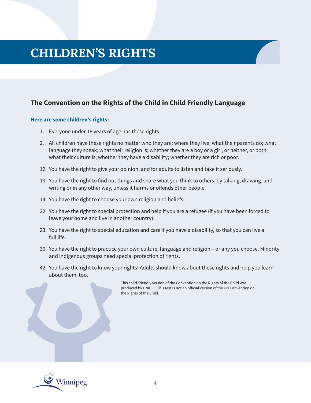### **CHILDREN'S RIGHTS**

#### **The Convention on the Rights of the Child in Child Friendly Language**

#### **Here are some children's rights:**

- 1. Everyone under 18 years of age has these rights.
- 2. All children have these rights no matter who they are; where they live; what their parents do; what language they speak; what their religion is; whether they are a boy or a girl, or neither, or both; what their culture is; whether they have a disability; whether they are rich or poor.
- 12. You have the right to give your opinion, and for adults to listen and take it seriously.
- 13. You have the right to find out things and share what you think to others, by talking, drawing, and writing or in any other way, unless it harms or offends other people.
- 14. You have the right to choose your own religion and beliefs.
- 22. You have the right to special protection and help if you are a refugee (if you have been forced to leave your home and live in another country).
- 23. You have the right to special education and care if you have a disability, so that you can live a full life.
- 30. You have the right to practice your own culture, language and religion or any you choose. Minority and Indigenous groups need special protection of rights.
- 42. You have the right to know your rights! Adults should know about these rights and help you learn about them, too.

This child-friendly version of the Convention on the Rights of the Child was produced by UNICEF. This text is not an official version of the UN Convention on the Rights of the Child.

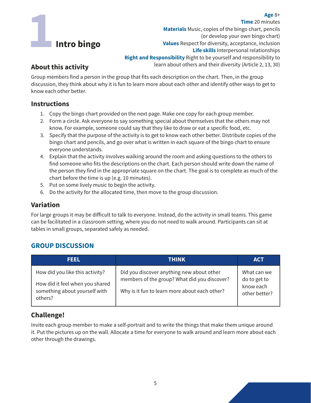## **1 Intro bingo**

**Time** 20 minutes **Materials** Music, copies of the bingo chart, pencils (or develop your own bingo chart) **Values** Respect for diversity, acceptance, inclusion **Life skills** Interpersonal relationships **Right and Responsibility** Right to be yourself and responsibility to learn about others and their diversity (Article 2, 13, 30)

#### **About this activity**

Group members find a person in the group that fits each description on the chart. Then, in the group discussion, they think about why it is fun to learn more about each other and identify other ways to get to know each other better.

#### **Instructions**

- 1. Copy the bingo chart provided on the next page. Make one copy for each group member.
- 2. Form a circle. Ask everyone to say something special about themselves that the others may not know. For example, someone could say that they like to draw or eat a specific food, etc.
- 3. Specify that the purpose of the activity is to get to know each other better. Distribute copies of the bingo chart and pencils, and go over what is written in each square of the bingo chart to ensure everyone understands.
- 4. Explain that the activity involves walking around the room and asking questions to the others to find someone who fits the descriptions on the chart. Each person should write down the name of the person they find in the appropriate square on the chart. The goal is to complete as much of the chart before the time is up (e.g. 10 minutes).
- 5. Put on some lively music to begin the activity.
- 6. Do the activity for the allocated time, then move to the group discussion.

#### **Variation**

For large groups it may be difficult to talk to everyone. Instead, do the activity in small teams. This game can be facilitated in a classroom setting, where you do not need to walk around. Participants can sit at tables in small groups, separated safely as needed.

#### **GROUP DISCUSSION**

| FEEL                                                                                                           | <b>THINK</b>                                                                                                                               | <b>ACT</b>                                                |
|----------------------------------------------------------------------------------------------------------------|--------------------------------------------------------------------------------------------------------------------------------------------|-----------------------------------------------------------|
| How did you like this activity?<br>How did it feel when you shared<br>something about yourself with<br>others? | Did you discover anything new about other<br>members of the group? What did you discover?<br>Why is it fun to learn more about each other? | What can we<br>do to get to<br>know each<br>other better? |

#### **Challenge!**

Invite each group member to make a self-portrait and to write the things that make them unique around it. Put the pictures up on the wall. Allocate a time for everyone to walk around and learn more about each other through the drawings.

#### **Age** 8+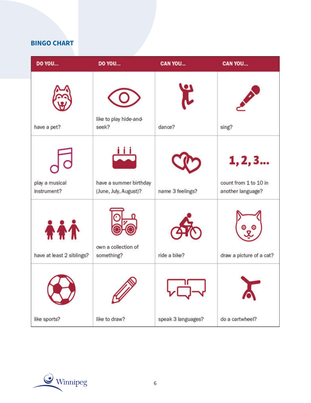#### **BINGO CHART**

| DO YOU                                  | DO YOU                                          | <b>CAN YOU</b>     | <b>CAN YOU</b>                                        |
|-----------------------------------------|-------------------------------------------------|--------------------|-------------------------------------------------------|
| have a pet?                             | like to play hide-and-<br>seek?                 | Ĭ,<br>dance?       | sing?                                                 |
| play a musical<br>instrument?           | have a summer birthday<br>(June, July, August)? | name 3 feelings?   | 1, 2, 3<br>count from 1 to 10 in<br>another language? |
| <b>AAA</b><br>have at least 2 siblings? | own a collection of<br>something?               | ride a bike?       | draw a picture of a cat?                              |
| like sports?                            | 47<br>like to draw?                             | speak 3 languages? | do a cartwheel?                                       |

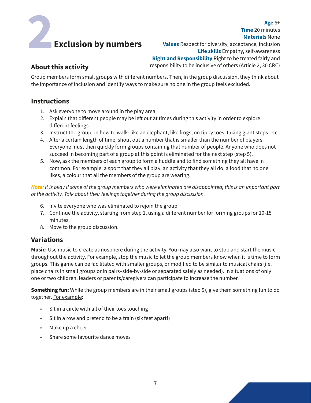## Age 6+<br> **20 minutes**<br> **20 minutes**<br> **20 minutes**<br> **20 minutes**<br> **20 minutes**<br> **20 minutes**<br> **20 minutes**<br> **20 minutes**<br> **20 minutes**<br> **20 minutes**<br> **20 minutes**<br> **20 minutes**<br> **20 Materials None**<br> **20 Materials None**<br> **20 Exclusion by numbers**

**Materials** None **Values** Respect for diversity, acceptance, inclusion **Life skills** Empathy, self-awareness **Right and Responsibility** Right to be treated fairly and responsibility to be inclusive of others (Article 2, 30 CRC)

**Time** 20 minutes

#### **About this activity**

Group members form small groups with different numbers. Then, in the group discussion, they think about the importance of inclusion and identify ways to make sure no one in the group feels excluded.

#### **Instructions**

- 1. Ask everyone to move around in the play area.
- 2. Explain that different people may be left out at times during this activity in order to explore different feelings.
- 3. Instruct the group on how to walk: like an elephant, like frogs, on tippy toes, taking giant steps, etc.
- 4. After a certain length of time, shout out a number that is smaller than the number of players. Everyone must then quickly form groups containing that number of people. Anyone who does not succeed in becoming part of a group at this point is eliminated for the next step (step 5).
- 5. Now, ask the members of each group to form a huddle and to find something they all have in common. For example: a sport that they all play, an activity that they all do, a food that no one likes, a colour that all the members of the group are wearing.

*Note: It is okay if some of the group members who were eliminated are disappointed; this is an important part of the activity. Talk about their feelings together during the group discussion.* 

- 6. Invite everyone who was eliminated to rejoin the group.
- 7. Continue the activity, starting from step 1, using a different number for forming groups for 10-15 minutes.
- 8. Move to the group discussion.

#### **Variations**

**Music:** Use music to create atmosphere during the activity. You may also want to stop and start the music throughout the activity. For example, stop the music to let the group members know when it is time to form groups. This game can be facilitated with smaller groups, or modified to be similar to musical chairs (i.e. place chairs in small groups or in pairs–side-by-side or separated safely as needed). In situations of only one or two children, leaders or parents/caregivers can participate to increase the number.

**Something fun:** While the group members are in their small groups (step 5), give them something fun to do together. For example:

- Sit in a circle with all of their toes touching
- Sit in a row and pretend to be a train (six feet apart!)
- Make up a cheer
- Share some favourite dance moves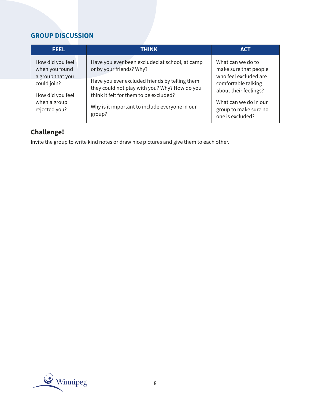#### **GROUP DISCUSSION**

| <b>FEEL</b>                                                                                               | THINK                                                                                                                                                                                                                   | <b>ACT</b>                                                                                                                                   |
|-----------------------------------------------------------------------------------------------------------|-------------------------------------------------------------------------------------------------------------------------------------------------------------------------------------------------------------------------|----------------------------------------------------------------------------------------------------------------------------------------------|
| How did you feel<br>when you found<br>a group that you<br>could join?<br>How did you feel<br>when a group | Have you ever been excluded at school, at camp<br>or by your friends? Why?<br>Have you ever excluded friends by telling them<br>they could not play with you? Why? How do you<br>think it felt for them to be excluded? | What can we do to<br>make sure that people<br>who feel excluded are<br>comfortable talking<br>about their feelings?<br>What can we do in our |
| rejected you?                                                                                             | Why is it important to include everyone in our<br>group?                                                                                                                                                                | group to make sure no<br>one is excluded?                                                                                                    |

#### **Challenge!**

Invite the group to write kind notes or draw nice pictures and give them to each other.

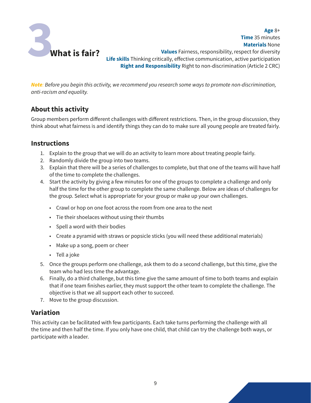

**Materials** None **Values** Fairness, responsibility, respect for diversity **Life skills** Thinking critically, effective communication, active participation **Right and Responsibility** Right to non-discrimination (Article 2 CRC)

**Age** 8+

**Time** 35 minutes

*Note: Before you begin this activity, we recommend you research some ways to promote non-discrimination, anti-racism and equality.*

#### **About this activity**

Group members perform different challenges with different restrictions. Then, in the group discussion, they think about what fairness is and identify things they can do to make sure all young people are treated fairly.

#### **Instructions**

- 1. Explain to the group that we will do an activity to learn more about treating people fairly.
- 2. Randomly divide the group into two teams.
- 3. Explain that there will be a series of challenges to complete, but that one of the teams will have half of the time to complete the challenges.
- 4. Start the activity by giving a few minutes for one of the groups to complete a challenge and only half the time for the other group to complete the same challenge. Below are ideas of challenges for the group. Select what is appropriate for your group or make up your own challenges.
	- Crawl or hop on one foot across the room from one area to the next
	- Tie their shoelaces without using their thumbs
	- Spell a word with their bodies
	- Create a pyramid with straws or popsicle sticks (you will need these additional materials)
	- Make up a song, poem or cheer
	- Tell a joke
- 5. Once the groups perform one challenge, ask them to do a second challenge, but this time, give the team who had less time the advantage.
- 6. Finally, do a third challenge, but this time give the same amount of time to both teams and explain that if one team finishes earlier, they must support the other team to complete the challenge. The objective is that we all support each other to succeed.
- 7. Move to the group discussion.

#### **Variation**

This activity can be facilitated with few participants. Each take turns performing the challenge with all the time and then half the time. If you only have one child, that child can try the challenge both ways, or participate with a leader.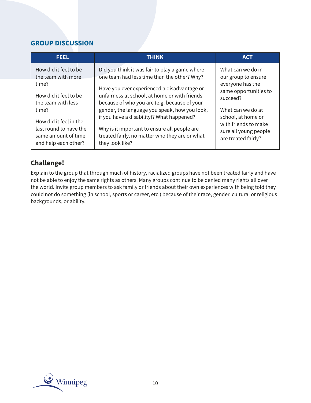#### **GROUP DISCUSSION**

| <b>FEEL</b>            | <b>THINK</b>                                   | <b>ACT</b>            |
|------------------------|------------------------------------------------|-----------------------|
| How did it feel to be  | Did you think it was fair to play a game where | What can we do in     |
| the team with more     | one team had less time than the other? Why?    | our group to ensure   |
| time?                  | Have you ever experienced a disadvantage or    | everyone has the      |
| How did it feel to be  | unfairness at school, at home or with friends  | same opportunities to |
| the team with less     | because of who you are (e.g. because of your   | succeed?              |
| time?                  | gender, the language you speak, how you look,  | What can we do at     |
| How did it feel in the | if you have a disability)? What happened?      | school, at home or    |
| last round to have the | Why is it important to ensure all people are   | with friends to make  |
| same amount of time    | treated fairly, no matter who they are or what | sure all young people |
| and help each other?   | they look like?                                | are treated fairly?   |

#### **Challenge!**

Explain to the group that through much of history, racialized groups have not been treated fairly and have not be able to enjoy the same rights as others. Many groups continue to be denied many rights all over the world. Invite group members to ask family or friends about their own experiences with being told they could not do something (in school, sports or career, etc.) because of their race, gender, cultural or religious backgrounds, or ability.

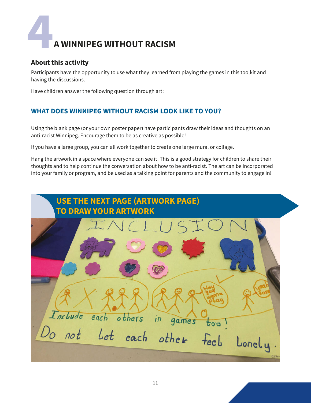# **4 A WINNIPEG WITHOUT RACISM**

#### **About this activity**

Participants have the opportunity to use what they learned from playing the games in this toolkit and having the discussions.

Have children answer the following question through art:

#### **WHAT DOES WINNIPEG WITHOUT RACISM LOOK LIKE TO YOU?**

Using the blank page (or your own poster paper) have participants draw their ideas and thoughts on an anti-racist Winnipeg. Encourage them to be as creative as possible!

If you have a large group, you can all work together to create one large mural or collage.

Hang the artwork in a space where everyone can see it. This is a good strategy for children to share their thoughts and to help continue the conversation about how to be anti-racist. The art can be incorporated into your family or program, and be used as a talking point for parents and the community to engage in!

| <b>USE THE NEXT PAGE (ARTWORK PAGE)</b><br><b>TO DRAW YOUR ARTWORK</b> |  |
|------------------------------------------------------------------------|--|
| NCLUSIO                                                                |  |
| Include each others in games<br>too                                    |  |
| Do not Let each other feel<br>Lonely<br>Cecty,                         |  |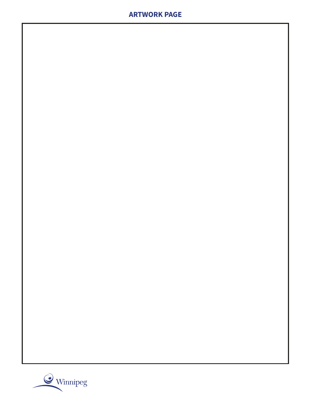#### **ARTWORK PAGE**

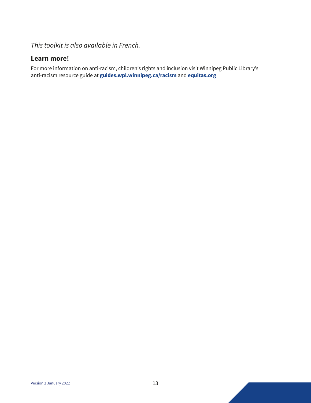*This toolkit is also available in French.*

#### **Learn more!**

For more information on anti-racism, children's rights and inclusion visit Winnipeg Public Library's anti-racism resource guide at **guides.wpl.winnipeg.ca/racism** and **equitas.org**